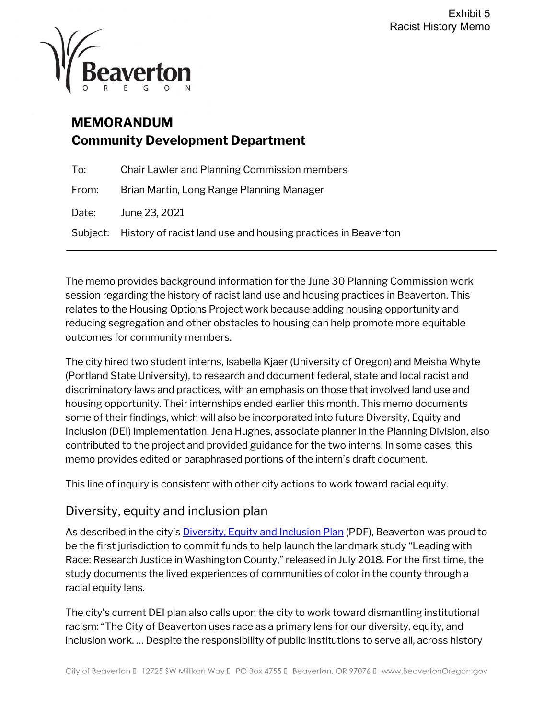

# **MEMORANDUM Community Development Department**

| To:   | <b>Chair Lawler and Planning Commission members</b>                    |
|-------|------------------------------------------------------------------------|
| From: | Brian Martin, Long Range Planning Manager                              |
| Date: | June 23, 2021                                                          |
|       | Subject: History of racist land use and housing practices in Beaverton |

The memo provides background information for the June 30 Planning Commission work session regarding the history of racist land use and housing practices in Beaverton. This relates to the Housing Options Project work because adding housing opportunity and reducing segregation and other obstacles to housing can help promote more equitable outcomes for community members.

The city hired two student interns, Isabella Kjaer (University of Oregon) and Meisha Whyte (Portland State University), to research and document federal, state and local racist and discriminatory laws and practices, with an emphasis on those that involved land use and housing opportunity. Their internships ended earlier this month. This memo documents some of their findings, which will also be incorporated into future Diversity, Equity and Inclusion (DEI) implementation. Jena Hughes, associate planner in the Planning Division, also contributed to the project and provided guidance for the two interns. In some cases, this memo provides edited or paraphrased portions of the intern's draft document.

This line of inquiry is consistent with other city actions to work toward racial equity.

## Diversity, equity and inclusion plan

As described in the city's **Diversity, Equity and Inclusion Plan** (PDF), Beaverton was proud to be the first jurisdiction to commit funds to help launch the landmark study "Leading with Race: Research Justice in Washington County," released in July 2018. For the first time, the study documents the lived experiences of communities of color in the county through a racial equity lens.

The city's current DEI plan also calls upon the city to work toward dismantling institutional racism: "The City of Beaverton uses race as a primary lens for our diversity, equity, and inclusion work. … Despite the responsibility of public institutions to serve all, across history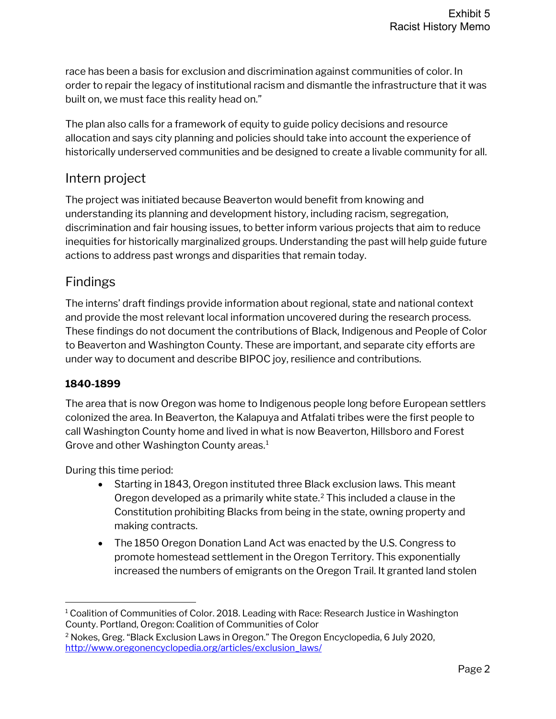race has been a basis for exclusion and discrimination against communities of color. In order to repair the legacy of institutional racism and dismantle the infrastructure that it was built on, we must face this reality head on."

The plan also calls for a framework of equity to guide policy decisions and resource allocation and says city planning and policies should take into account the experience of historically underserved communities and be designed to create a livable community for all.

## Intern project

The project was initiated because Beaverton would benefit from knowing and understanding its planning and development history, including racism, segregation, discrimination and fair housing issues, to better inform various projects that aim to reduce inequities for historically marginalized groups. Understanding the past will help guide future actions to address past wrongs and disparities that remain today.

## Findings

The interns' draft findings provide information about regional, state and national context and provide the most relevant local information uncovered during the research process. These findings do not document the contributions of Black, Indigenous and People of Color to Beaverton and Washington County. These are important, and separate city efforts are under way to document and describe BIPOC joy, resilience and contributions.

## **1840-1899**

The area that is now Oregon was home to Indigenous people long before European settlers colonized the area. In Beaverton, the Kalapuya and Atfalati tribes were the first people to call Washington County home and lived in what is now Beaverton, Hillsboro and Forest Grove and other Washington County areas.<sup>[1](#page-1-0)</sup>

During this time period:

- Starting in 1843, Oregon instituted three Black exclusion laws. This meant Oregon developed as a primarily white state. $<sup>2</sup>$  $<sup>2</sup>$  $<sup>2</sup>$  This included a clause in the</sup> Constitution prohibiting Blacks from being in the state, owning property and making contracts.
- The 1850 Oregon Donation Land Act was enacted by the U.S. Congress to promote homestead settlement in the Oregon Territory. This exponentially increased the numbers of emigrants on the Oregon Trail. It granted land stolen

<span id="page-1-0"></span> $1$  Coalition of Communities of Color. 2018. Leading with Race: Research Justice in Washington County. Portland, Oregon: Coalition of Communities of Color

<span id="page-1-1"></span><sup>2</sup> Nokes, Greg. "Black Exclusion Laws in Oregon." The Oregon Encyclopedia, 6 July 2020, [http://www.oregonencyclopedia.org/articles/exclusion\\_laws/](http://www.oregonencyclopedia.org/articles/exclusion_laws/)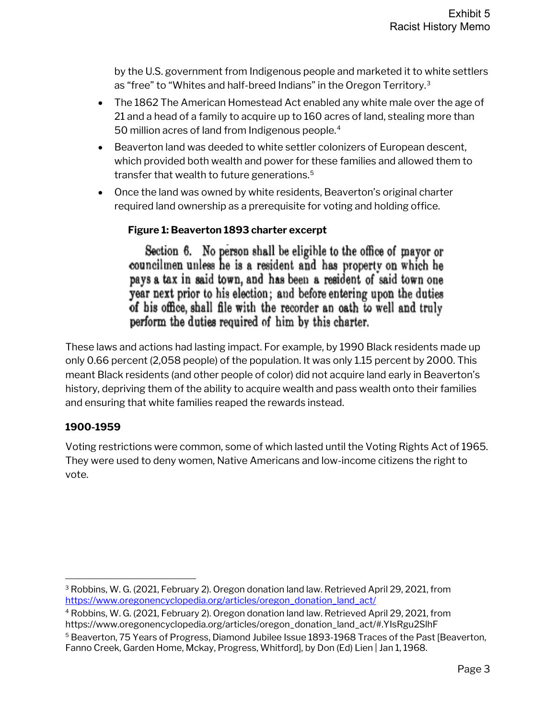by the U.S. government from Indigenous people and marketed it to white settlers as "free" to "Whites and half-breed Indians" in the Oregon Territory.[3](#page-2-0)

- The 1862 The American Homestead Act enabled any white male over the age of 21 and a head of a family to acquire up to 160 acres of land, stealing more than 50 million acres of land from Indigenous people.<sup>[4](#page-2-1)</sup>
- Beaverton land was deeded to white settler colonizers of European descent, which provided both wealth and power for these families and allowed them to transfer that wealth to future generations.<sup>[5](#page-2-2)</sup>
- Once the land was owned by white residents, Beaverton's original charter required land ownership as a prerequisite for voting and holding office.

## **Figure 1: Beaverton 1893 charter excerpt**

Section 6. No person shall be eligible to the office of mayor or councilmen unless he is a resident and has property on which he pays a tax in said town, and has been a resident of said town one year next prior to his election; and before entering upon the duties of his office, shall file with the recorder an oath to well and truly perform the duties required of him by this charter.

These laws and actions had lasting impact. For example, by 1990 Black residents made up only 0.66 percent (2,058 people) of the population. It was only 1.15 percent by 2000. This meant Black residents (and other people of color) did not acquire land early in Beaverton's history, depriving them of the ability to acquire wealth and pass wealth onto their families and ensuring that white families reaped the rewards instead.

## **1900-1959**

Voting restrictions were common, some of which lasted until the Voting Rights Act of 1965. They were used to deny women, Native Americans and low-income citizens the right to vote.

<span id="page-2-0"></span><sup>3</sup> Robbins, W. G. (2021, February 2). Oregon donation land law. Retrieved April 29, 2021, from [https://www.oregonencyclopedia.org/articles/oregon\\_donation\\_land\\_act/](https://www.oregonencyclopedia.org/articles/oregon_donation_land_act/)

<span id="page-2-1"></span><sup>4</sup> Robbins, W. G. (2021, February 2). Oregon donation land law. Retrieved April 29, 2021, from https://www.oregonencyclopedia.org/articles/oregon\_donation\_land\_act/#.YIsRgu2SlhF

<span id="page-2-2"></span><sup>5</sup> Beaverton, 75 Years of Progress, Diamond Jubilee Issue 1893-1968 Traces of the Past [Beaverton, Fanno Creek, Garden Home, Mckay, Progress, Whitford], by Don (Ed) Lien | Jan 1, 1968.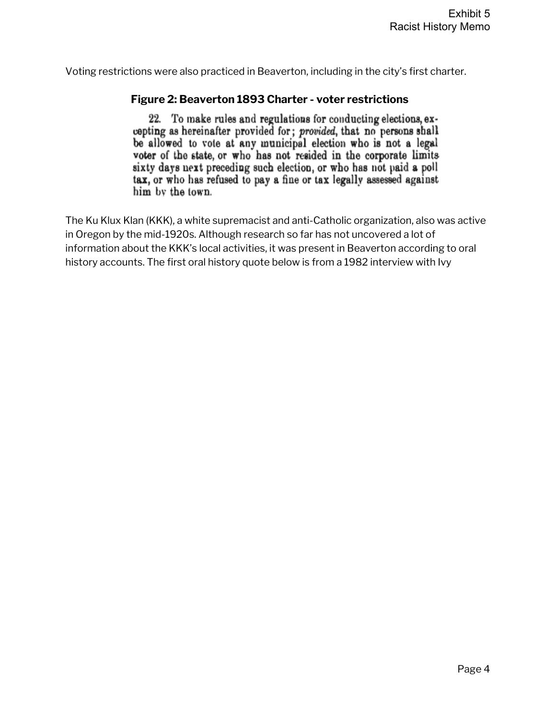Voting restrictions were also practiced in Beaverton, including in the city's first charter.

#### **Figure 2: Beaverton 1893 Charter - voter restrictions**

22. To make rules and regulations for conducting elections, excepting as hereinafter provided for; provided, that no persons shall be allowed to vote at any municipal election who is not a legal voter of the state, or who has not resided in the corporate limits sixty days next preceding such election, or who has not paid a poll tax, or who has refused to pay a fine or tax legally assessed against him by the town.

The Ku Klux Klan (KKK), a white supremacist and anti-Catholic organization, also was active in Oregon by the mid-1920s. Although research so far has not uncovered a lot of information about the KKK's local activities, it was present in Beaverton according to oral history accounts. The first oral history quote below is from a 1982 interview with Ivy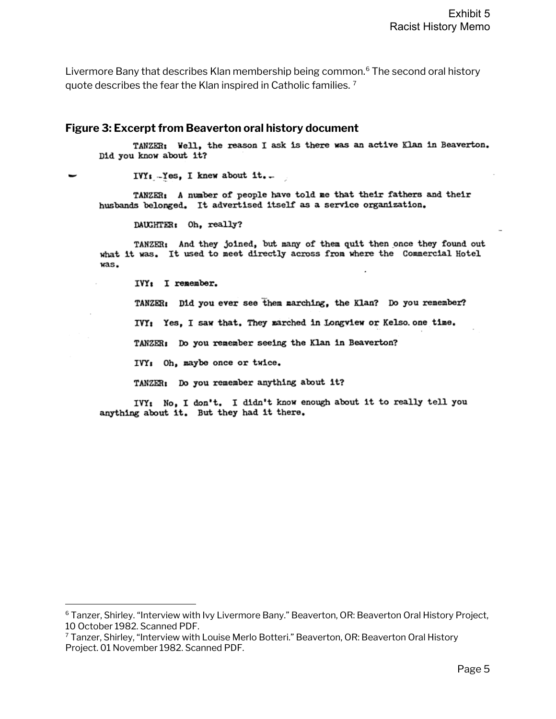Livermore Bany that describes Klan membership being common. [6](#page-4-0) The second oral history quote describes the fear the Klan inspired in Catholic families. [7](#page-4-1)

#### **Figure 3: Excerpt from Beaverton oral history document**

TANZER: Well, the reason I ask is there was an active Klan in Beaverton. Did you know about it?

 $IVY_i - Yes$ , I knew about it...

TANZER: A number of people have told me that their fathers and their husbands belonged. It advertised itself as a service organization.

DAUGHTER: Oh, really?

TANZER: And they joined, but many of them quit then once they found out what it was. It used to meet directly across from where the Commercial Hotel was.

IVY: I remember.

TANZER: Did you ever see them marching, the Klan? Do you remember?

IVY: Yes, I saw that. They marched in Longview or Kelso one time.

TANZER: Do you remember seeing the Klan in Beaverton?

IVY: Oh, maybe once or twice.

TANZER: Do you remember anything about it?

IVY: No, I don't. I didn't know enough about it to really tell you anything about it. But they had it there.

<span id="page-4-0"></span><sup>6</sup> Tanzer, Shirley. "Interview with Ivy Livermore Bany." Beaverton, OR: Beaverton Oral History Project, 10 October 1982. Scanned PDF.

<span id="page-4-1"></span><sup>7</sup> Tanzer, Shirley, "Interview with Louise Merlo Botteri." Beaverton, OR: Beaverton Oral History Project. 01 November 1982. Scanned PDF.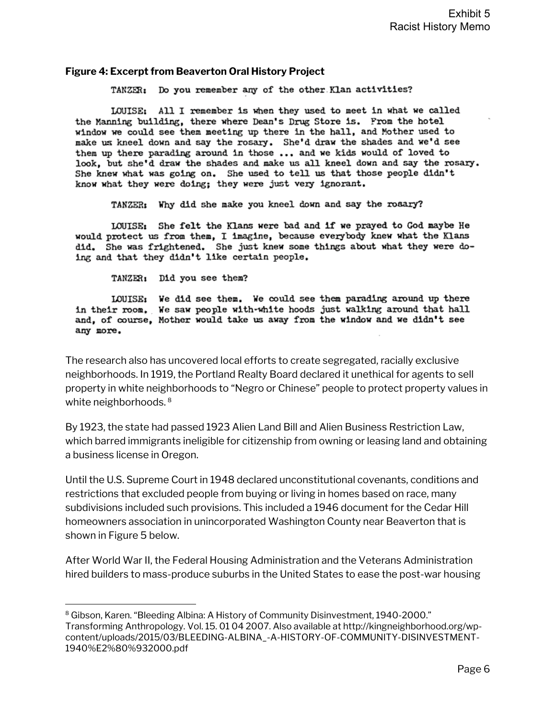#### **Figure 4: Excerpt from Beaverton Oral History Project**

TANZER: Do you remember any of the other Klan activities?

LOUISE: All I remember is when they used to meet in what we called the Manning building, there where Dean's Drug Store is. From the hotel window we could see them meeting up there in the hall, and Mother used to make us kneel down and say the rosary. She'd draw the shades and we'd see them up there parading around in those ... and we kids would of loved to look, but she'd draw the shades and make us all kneel down and say the rosary. She knew what was going on. She used to tell us that those people didn't know what they were doing; they were just very ignorant.

TANZER: Why did she make you kneel down and say the rosary?

LOUISE: She felt the Klans were bad and if we prayed to God maybe He would protect us from them, I imagine, because everybody knew what the Klans did. She was frightened. She just knew some things about what they were doing and that they didn't like certain people.

TANZER: Did you see them?

LOUISE: We did see them. We could see them parading around up there in their room. We saw people with-white hoods just walking around that hall and, of course, Mother would take us away from the window and we didn't see any more.

The research also has uncovered local efforts to create segregated, racially exclusive neighborhoods. In 1919, the Portland Realty Board declared it unethical for agents to sell property in white neighborhoods to "Negro or Chinese" people to protect property values in white neighborhoods.<sup>[8](#page-5-0)</sup>

By 1923, the state had passed 1923 Alien Land Bill and Alien Business Restriction Law, which barred immigrants ineligible for citizenship from owning or leasing land and obtaining a business license in Oregon.

Until the U.S. Supreme Court in 1948 declared unconstitutional covenants, conditions and restrictions that excluded people from buying or living in homes based on race, many subdivisions included such provisions. This included a 1946 document for the Cedar Hill homeowners association in unincorporated Washington County near Beaverton that is shown i[n Figure 5](#page-6-0) below.

After World War II, the Federal Housing Administration and the Veterans Administration hired builders to mass-produce suburbs in the United States to ease the post-war housing

<span id="page-5-0"></span><sup>8</sup> Gibson, Karen. "Bleeding Albina: A History of Community Disinvestment, 1940-2000." Transforming Anthropology. Vol. 15. 01 04 2007. Also available at http://kingneighborhood.org/wpcontent/uploads/2015/03/BLEEDING-ALBINA\_-A-HISTORY-OF-COMMUNITY-DISINVESTMENT-1940%E2%80%932000.pdf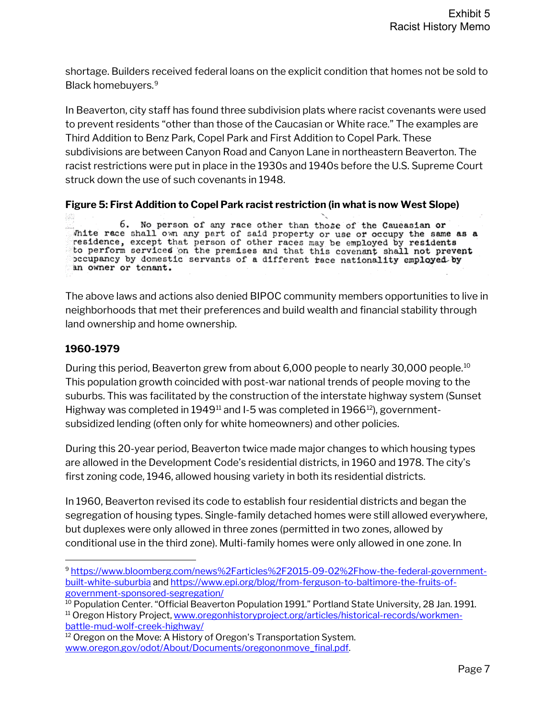shortage. Builders received federal loans on the explicit condition that homes not be sold to Black homebuyers.[9](#page-6-1)

In Beaverton, city staff has found three subdivision plats where racist covenants were used to prevent residents "other than those of the Caucasian or White race." The examples are Third Addition to Benz Park, Copel Park and First Addition to Copel Park. These subdivisions are between Canyon Road and Canyon Lane in northeastern Beaverton. The racist restrictions were put in place in the 1930s and 1940s before the U.S. Supreme Court struck down the use of such covenants in 1948.

<span id="page-6-0"></span>**Figure 5: First Addition to Copel Park racist restriction (in what is now West Slope)**

83 6. No person of any race other than those of the Caueasian or white race shall own any part of said property or use or occupy the same as a residence, except that person of other races may be employed by residents to perform services on the premises and that this covenant shall not prevent occupancy by domestic servants of a different race nationality employed by an owner or tenant.

The above laws and actions also denied BIPOC community members opportunities to live in neighborhoods that met their preferences and build wealth and financial stability through land ownership and home ownership.

### **1960-1979**

During this period, Beaverton grew from about 6,000 people to nearly 30,000 people.<sup>[10](#page-6-2)</sup> This population growth coincided with post-war national trends of people moving to the suburbs. This was facilitated by the construction of the interstate highway system (Sunset Highway was completed in 1949 $^{11}$  $^{11}$  $^{11}$  and I-5 was completed in 1966 $^{12}$ ), governmentsubsidized lending (often only for white homeowners) and other policies.

During this 20-year period, Beaverton twice made major changes to which housing types are allowed in the Development Code's residential districts, in 1960 and 1978. The city's first zoning code, 1946, allowed housing variety in both its residential districts.

In 1960, Beaverton revised its code to establish four residential districts and began the segregation of housing types. Single-family detached homes were still allowed everywhere, but duplexes were only allowed in three zones (permitted in two zones, allowed by conditional use in the third zone). Multi-family homes were only allowed in one zone. In

<span id="page-6-1"></span><sup>9</sup> [https://www.bloomberg.com/news%2Farticles%2F2015-09-02%2Fhow-the-federal-government](https://www.bloomberg.com/news%2Farticles%2F2015-09-02%2Fhow-the-federal-government-built-white-suburbia)[built-white-suburbia](https://www.bloomberg.com/news%2Farticles%2F2015-09-02%2Fhow-the-federal-government-built-white-suburbia) and [https://www.epi.org/blog/from-ferguson-to-baltimore-the-fruits-of](https://www.epi.org/blog/from-ferguson-to-baltimore-the-fruits-of-government-sponsored-segregation/)[government-sponsored-segregation/](https://www.epi.org/blog/from-ferguson-to-baltimore-the-fruits-of-government-sponsored-segregation/)

<span id="page-6-3"></span><span id="page-6-2"></span><sup>&</sup>lt;sup>10</sup> Population Center. "Official Beaverton Population 1991." Portland State University, 28 Jan. 1991. <sup>11</sup> Oregon History Project[, www.oregonhistoryproject.org/articles/historical-records/workmen](http://www.oregonhistoryproject.org/articles/historical-records/workmen-battle-mud-wolf-creek-highway/)[battle-mud-wolf-creek-highway/](http://www.oregonhistoryproject.org/articles/historical-records/workmen-battle-mud-wolf-creek-highway/)

<span id="page-6-4"></span><sup>&</sup>lt;sup>12</sup> Oregon on the Move: A History of Oregon's Transportation System. www.oregon.gov/odot/About/Documents/oregononmove\_final.pdf.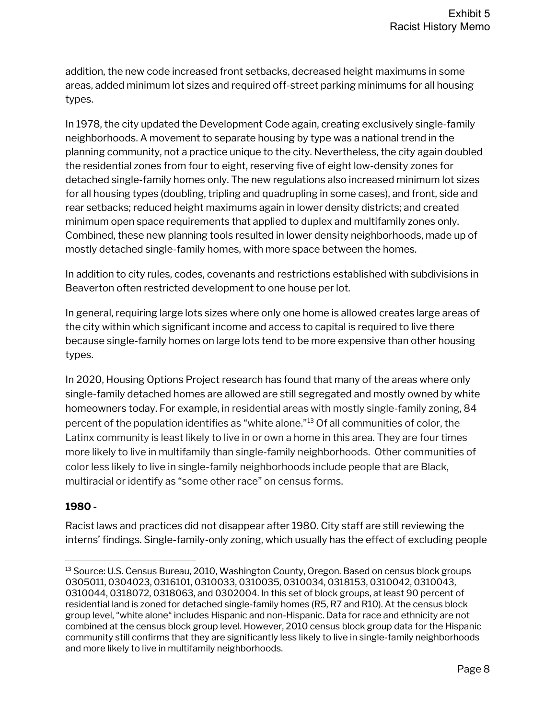addition, the new code increased front setbacks, decreased height maximums in some areas, added minimum lot sizes and required off-street parking minimums for all housing types.

In 1978, the city updated the Development Code again, creating exclusively single-family neighborhoods. A movement to separate housing by type was a national trend in the planning community, not a practice unique to the city. Nevertheless, the city again doubled the residential zones from four to eight, reserving five of eight low-density zones for detached single-family homes only. The new regulations also increased minimum lot sizes for all housing types (doubling, tripling and quadrupling in some cases), and front, side and rear setbacks; reduced height maximums again in lower density districts; and created minimum open space requirements that applied to duplex and multifamily zones only. Combined, these new planning tools resulted in lower density neighborhoods, made up of mostly detached single-family homes, with more space between the homes.

In addition to city rules, codes, covenants and restrictions established with subdivisions in Beaverton often restricted development to one house per lot.

In general, requiring large lots sizes where only one home is allowed creates large areas of the city within which significant income and access to capital is required to live there because single-family homes on large lots tend to be more expensive than other housing types.

In 2020, Housing Options Project research has found that many of the areas where only single-family detached homes are allowed are still segregated and mostly owned by white homeowners today. For example, in residential areas with mostly single-family zoning, 84 percent of the population identifies as "white alone."[13](#page-7-0) Of all communities of color, the Latinx community is least likely to live in or own a home in this area. They are four times more likely to live in multifamily than single-family neighborhoods. Other communities of color less likely to live in single-family neighborhoods include people that are Black, multiracial or identify as "some other race" on census forms.

### **1980 -**

Racist laws and practices did not disappear after 1980. City staff are still reviewing the interns' findings. Single-family-only zoning, which usually has the effect of excluding people

<span id="page-7-0"></span><sup>&</sup>lt;sup>13</sup> Source: U.S. Census Bureau, 2010, Washington County, Oregon. Based on census block groups 0305011, 0304023, 0316101, 0310033, 0310035, 0310034, 0318153, 0310042, 0310043, 0310044, 0318072, 0318063, and 0302004. In this set of block groups, at least 90 percent of residential land is zoned for detached single-family homes (R5, R7 and R10). At the census block group level, "white alone" includes Hispanic and non-Hispanic. Data for race and ethnicity are not combined at the census block group level. However, 2010 census block group data for the Hispanic community still confirms that they are significantly less likely to live in single-family neighborhoods and more likely to live in multifamily neighborhoods.